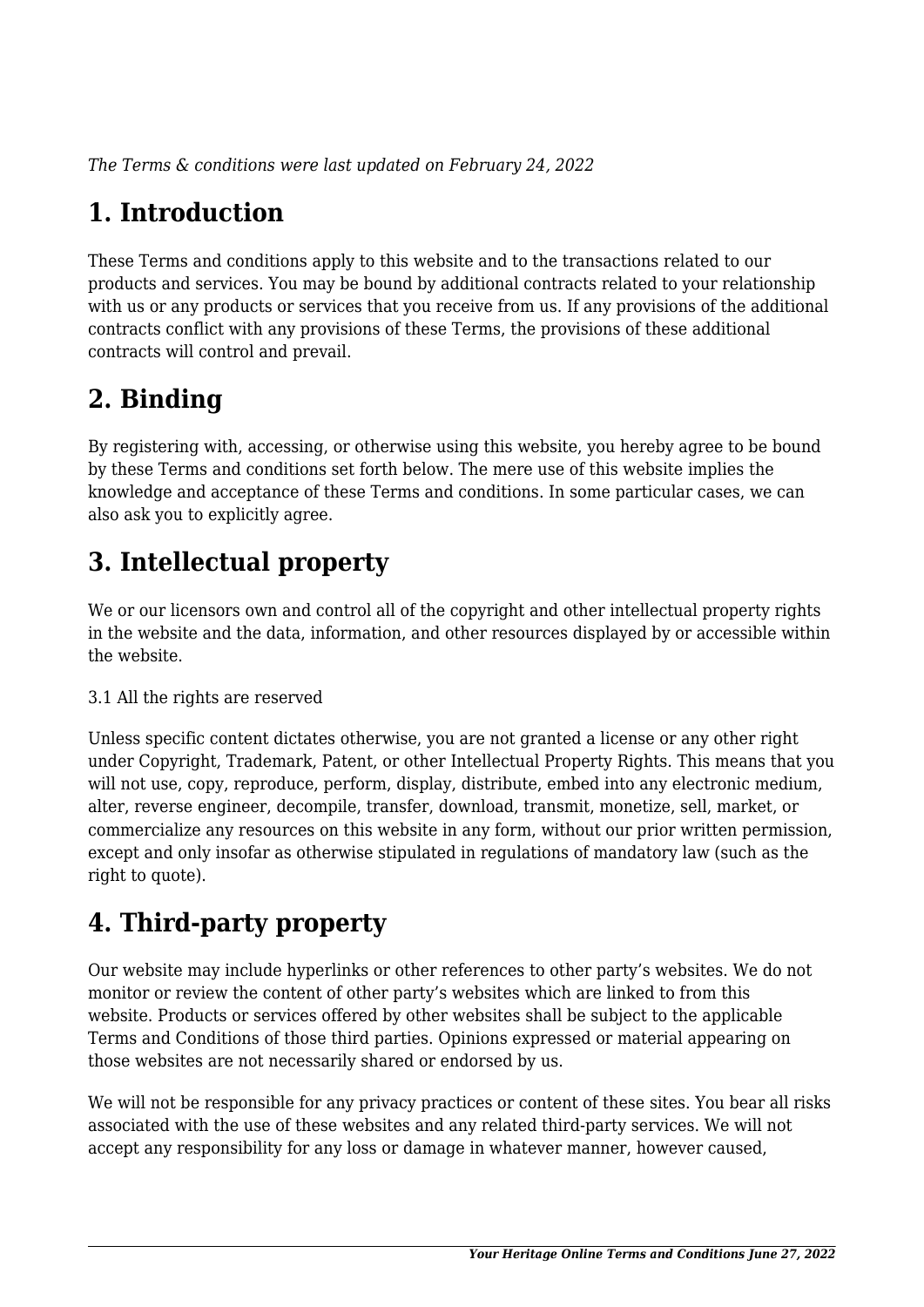*The Terms & conditions were last updated on February 24, 2022*

# **1. Introduction**

These Terms and conditions apply to this website and to the transactions related to our products and services. You may be bound by additional contracts related to your relationship with us or any products or services that you receive from us. If any provisions of the additional contracts conflict with any provisions of these Terms, the provisions of these additional contracts will control and prevail.

# **2. Binding**

By registering with, accessing, or otherwise using this website, you hereby agree to be bound by these Terms and conditions set forth below. The mere use of this website implies the knowledge and acceptance of these Terms and conditions. In some particular cases, we can also ask you to explicitly agree.

# **3. Intellectual property**

We or our licensors own and control all of the copyright and other intellectual property rights in the website and the data, information, and other resources displayed by or accessible within the website.

#### 3.1 All the rights are reserved

Unless specific content dictates otherwise, you are not granted a license or any other right under Copyright, Trademark, Patent, or other Intellectual Property Rights. This means that you will not use, copy, reproduce, perform, display, distribute, embed into any electronic medium, alter, reverse engineer, decompile, transfer, download, transmit, monetize, sell, market, or commercialize any resources on this website in any form, without our prior written permission, except and only insofar as otherwise stipulated in regulations of mandatory law (such as the right to quote).

# **4. Third-party property**

Our website may include hyperlinks or other references to other party's websites. We do not monitor or review the content of other party's websites which are linked to from this website. Products or services offered by other websites shall be subject to the applicable Terms and Conditions of those third parties. Opinions expressed or material appearing on those websites are not necessarily shared or endorsed by us.

We will not be responsible for any privacy practices or content of these sites. You bear all risks associated with the use of these websites and any related third-party services. We will not accept any responsibility for any loss or damage in whatever manner, however caused,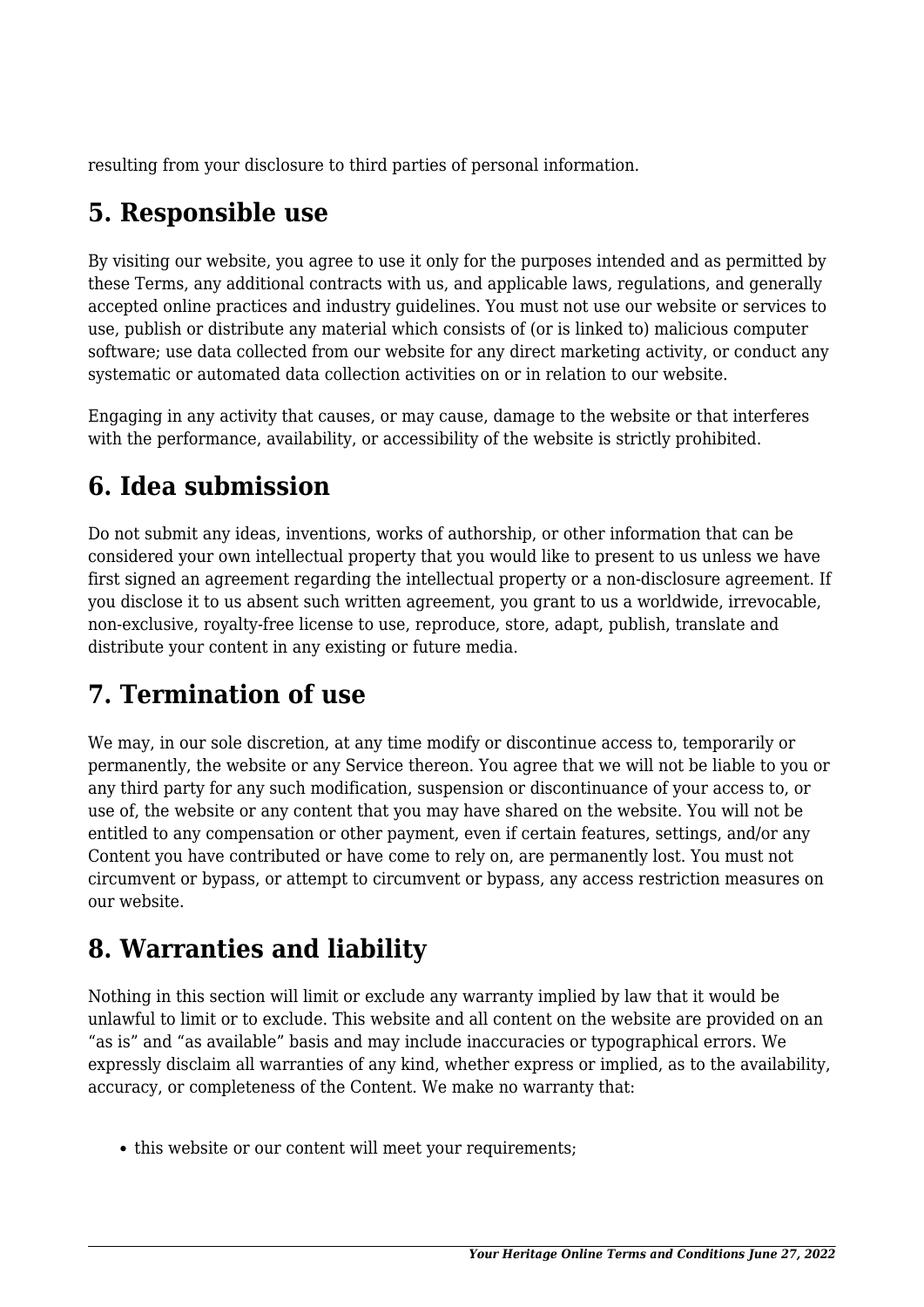resulting from your disclosure to third parties of personal information.

# **5. Responsible use**

By visiting our website, you agree to use it only for the purposes intended and as permitted by these Terms, any additional contracts with us, and applicable laws, regulations, and generally accepted online practices and industry guidelines. You must not use our website or services to use, publish or distribute any material which consists of (or is linked to) malicious computer software; use data collected from our website for any direct marketing activity, or conduct any systematic or automated data collection activities on or in relation to our website.

Engaging in any activity that causes, or may cause, damage to the website or that interferes with the performance, availability, or accessibility of the website is strictly prohibited.

# **6. Idea submission**

Do not submit any ideas, inventions, works of authorship, or other information that can be considered your own intellectual property that you would like to present to us unless we have first signed an agreement regarding the intellectual property or a non-disclosure agreement. If you disclose it to us absent such written agreement, you grant to us a worldwide, irrevocable, non-exclusive, royalty-free license to use, reproduce, store, adapt, publish, translate and distribute your content in any existing or future media.

# **7. Termination of use**

We may, in our sole discretion, at any time modify or discontinue access to, temporarily or permanently, the website or any Service thereon. You agree that we will not be liable to you or any third party for any such modification, suspension or discontinuance of your access to, or use of, the website or any content that you may have shared on the website. You will not be entitled to any compensation or other payment, even if certain features, settings, and/or any Content you have contributed or have come to rely on, are permanently lost. You must not circumvent or bypass, or attempt to circumvent or bypass, any access restriction measures on our website.

# **8. Warranties and liability**

Nothing in this section will limit or exclude any warranty implied by law that it would be unlawful to limit or to exclude. This website and all content on the website are provided on an "as is" and "as available" basis and may include inaccuracies or typographical errors. We expressly disclaim all warranties of any kind, whether express or implied, as to the availability, accuracy, or completeness of the Content. We make no warranty that:

• this website or our content will meet your requirements;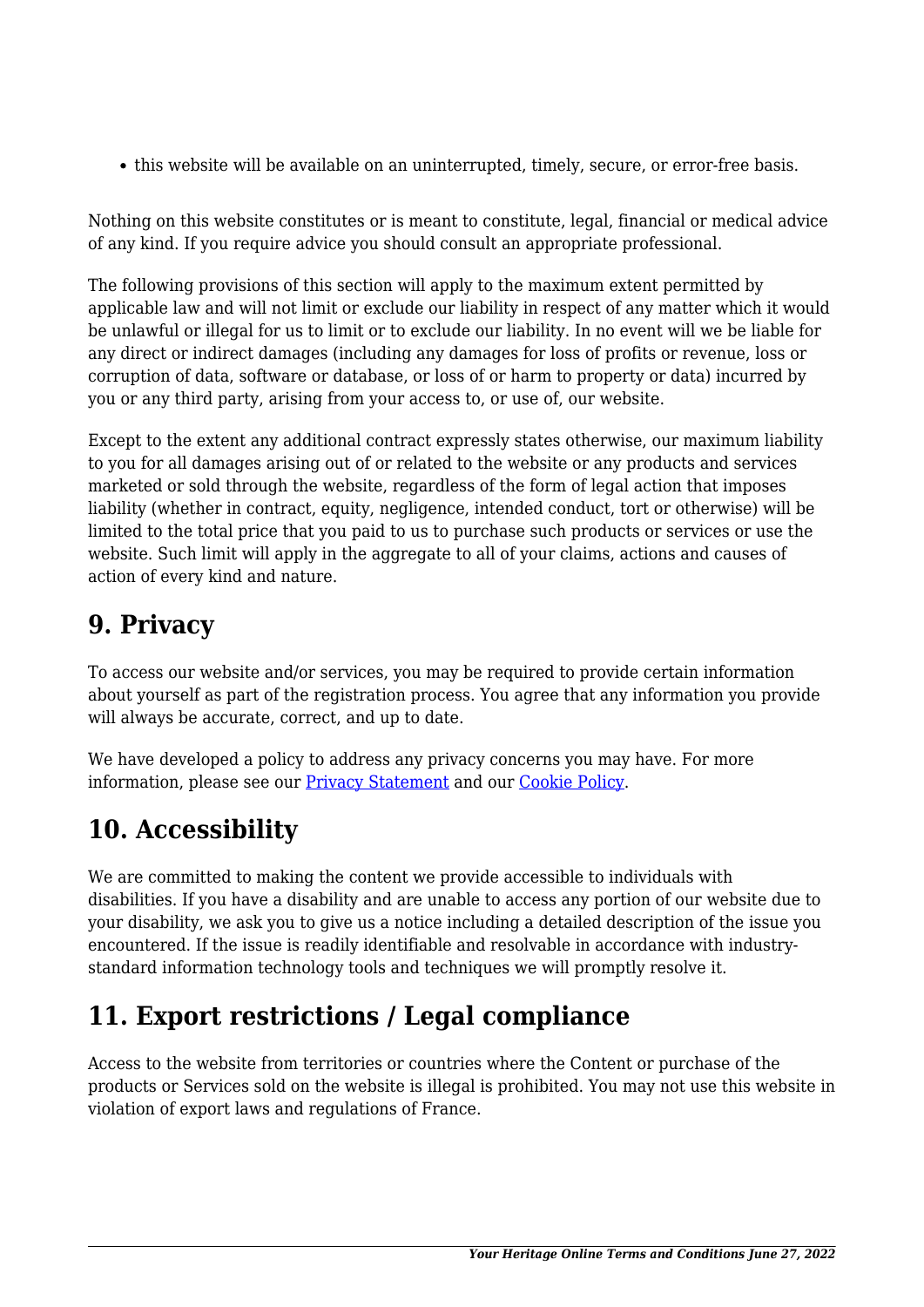this website will be available on an uninterrupted, timely, secure, or error-free basis.

Nothing on this website constitutes or is meant to constitute, legal, financial or medical advice of any kind. If you require advice you should consult an appropriate professional.

The following provisions of this section will apply to the maximum extent permitted by applicable law and will not limit or exclude our liability in respect of any matter which it would be unlawful or illegal for us to limit or to exclude our liability. In no event will we be liable for any direct or indirect damages (including any damages for loss of profits or revenue, loss or corruption of data, software or database, or loss of or harm to property or data) incurred by you or any third party, arising from your access to, or use of, our website.

Except to the extent any additional contract expressly states otherwise, our maximum liability to you for all damages arising out of or related to the website or any products and services marketed or sold through the website, regardless of the form of legal action that imposes liability (whether in contract, equity, negligence, intended conduct, tort or otherwise) will be limited to the total price that you paid to us to purchase such products or services or use the website. Such limit will apply in the aggregate to all of your claims, actions and causes of action of every kind and nature.

## **9. Privacy**

To access our website and/or services, you may be required to provide certain information about yourself as part of the registration process. You agree that any information you provide will always be accurate, correct, and up to date.

We have developed a policy to address any privacy concerns you may have. For more information, please see our Privacy Statement and our Cookie Policy.

# **10. Accessibility**

We are committed to making the content we provide accessible to individuals with disabilities. If you have a disability and are unable to access any portion of our website due to your disability, we ask you to give us a notice including a detailed description of the issue you encountered. If the issue is readily identifiable and resolvable in accordance with industrystandard information technology tools and techniques we will promptly resolve it.

# **11. Export restrictions / Legal compliance**

Access to the website from territories or countries where the Content or purchase of the products or Services sold on the website is illegal is prohibited. You may not use this website in violation of export laws and regulations of France.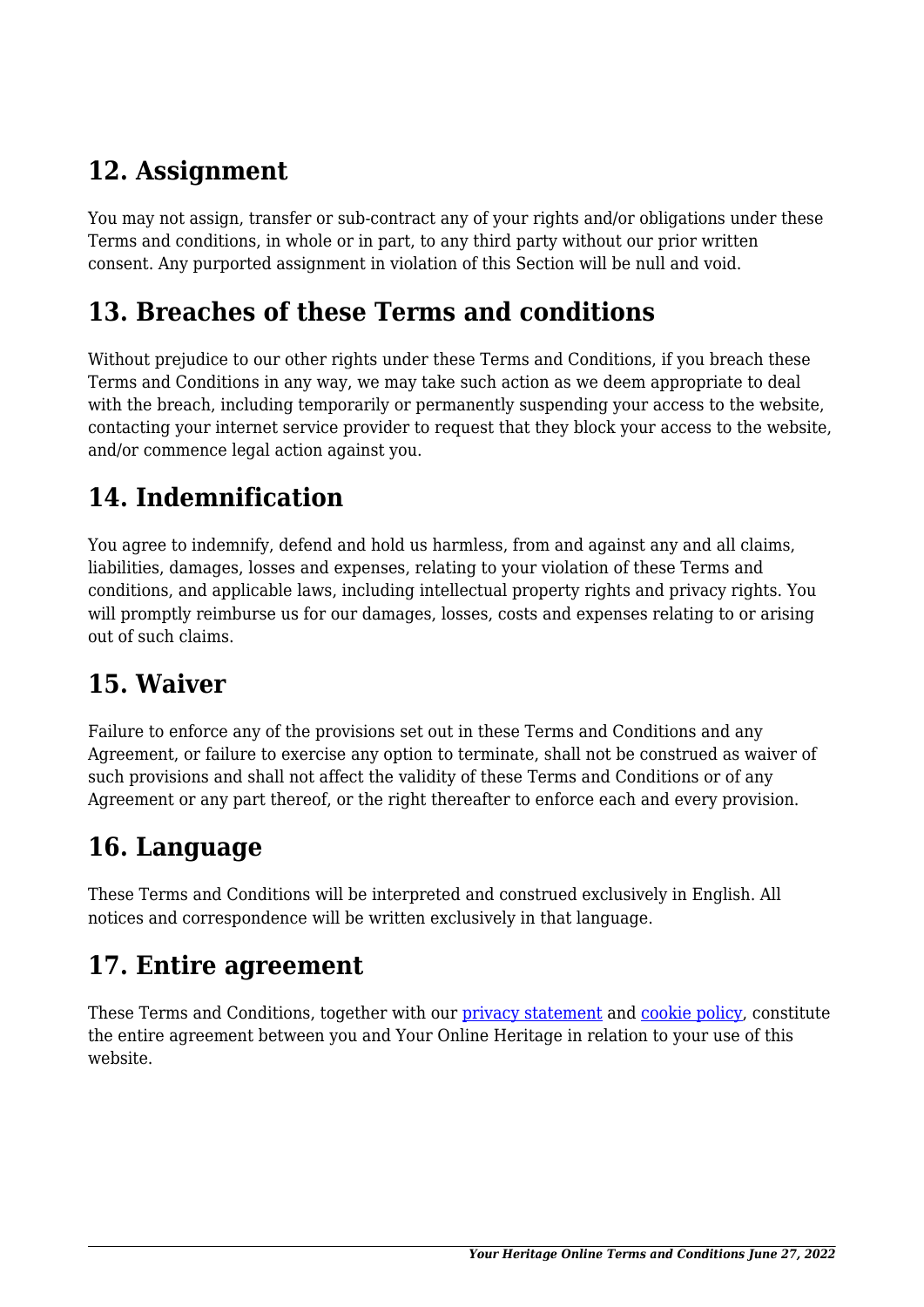## **12. Assignment**

You may not assign, transfer or sub-contract any of your rights and/or obligations under these Terms and conditions, in whole or in part, to any third party without our prior written consent. Any purported assignment in violation of this Section will be null and void.

#### **13. Breaches of these Terms and conditions**

Without prejudice to our other rights under these Terms and Conditions, if you breach these Terms and Conditions in any way, we may take such action as we deem appropriate to deal with the breach, including temporarily or permanently suspending your access to the website, contacting your internet service provider to request that they block your access to the website, and/or commence legal action against you.

# **14. Indemnification**

You agree to indemnify, defend and hold us harmless, from and against any and all claims, liabilities, damages, losses and expenses, relating to your violation of these Terms and conditions, and applicable laws, including intellectual property rights and privacy rights. You will promptly reimburse us for our damages, losses, costs and expenses relating to or arising out of such claims.

### **15. Waiver**

Failure to enforce any of the provisions set out in these Terms and Conditions and any Agreement, or failure to exercise any option to terminate, shall not be construed as waiver of such provisions and shall not affect the validity of these Terms and Conditions or of any Agreement or any part thereof, or the right thereafter to enforce each and every provision.

# **16. Language**

These Terms and Conditions will be interpreted and construed exclusively in English. All notices and correspondence will be written exclusively in that language.

#### **17. Entire agreement**

These Terms and Conditions, together with our privacy statement and cookie policy, constitute the entire agreement between you and Your Online Heritage in relation to your use of this website.